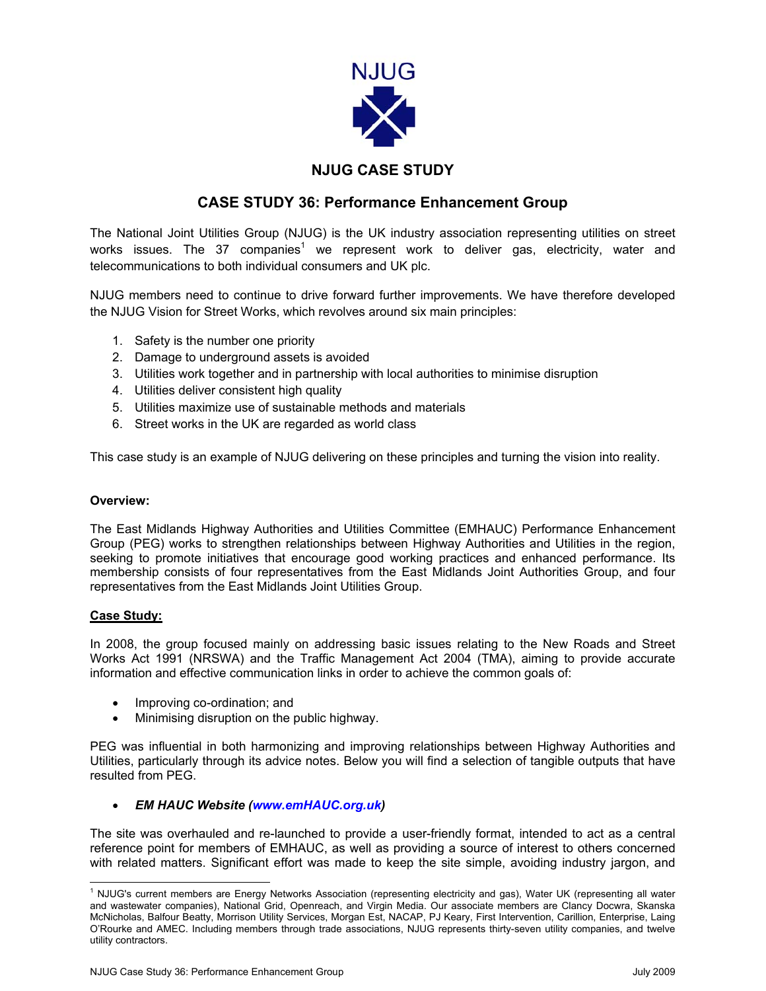

# **NJUG CASE STUDY**

# **CASE STUDY 36: Performance Enhancement Group**

The National Joint Utilities Group (NJUG) is the UK industry association representing utilities on street works issues. The 37 companies<sup>[1](#page-0-0)</sup> we represent work to deliver gas, electricity, water and telecommunications to both individual consumers and UK plc.

NJUG members need to continue to drive forward further improvements. We have therefore developed the NJUG Vision for Street Works, which revolves around six main principles:

- 1. Safety is the number one priority
- 2. Damage to underground assets is avoided
- 3. Utilities work together and in partnership with local authorities to minimise disruption
- 4. Utilities deliver consistent high quality
- 5. Utilities maximize use of sustainable methods and materials
- 6. Street works in the UK are regarded as world class

This case study is an example of NJUG delivering on these principles and turning the vision into reality.

#### **Overview:**

The East Midlands Highway Authorities and Utilities Committee (EMHAUC) Performance Enhancement Group (PEG) works to strengthen relationships between Highway Authorities and Utilities in the region, seeking to promote initiatives that encourage good working practices and enhanced performance. Its membership consists of four representatives from the East Midlands Joint Authorities Group, and four representatives from the East Midlands Joint Utilities Group.

## **Case Study:**

In 2008, the group focused mainly on addressing basic issues relating to the New Roads and Street Works Act 1991 (NRSWA) and the Traffic Management Act 2004 (TMA), aiming to provide accurate information and effective communication links in order to achieve the common goals of:

- Improving co-ordination; and
- Minimising disruption on the public highway.

PEG was influential in both harmonizing and improving relationships between Highway Authorities and Utilities, particularly through its advice notes. Below you will find a selection of tangible outputs that have resulted from PEG.

## • *EM HAUC Website ([www.emHAUC.org.uk\)](http://www.emhauc.org.uk/)*

The site was overhauled and re-launched to provide a user-friendly format, intended to act as a central reference point for members of EMHAUC, as well as providing a source of interest to others concerned with related matters. Significant effort was made to keep the site simple, avoiding industry jargon, and

<span id="page-0-0"></span> $\frac{1}{1}$  $1$  NJUG's current members are Energy Networks Association (representing electricity and gas), Water UK (representing all water and wastewater companies), National Grid, Openreach, and Virgin Media. Our associate members are Clancy Docwra, Skanska McNicholas, Balfour Beatty, Morrison Utility Services, Morgan Est, NACAP, PJ Keary, First Intervention, Carillion, Enterprise, Laing O'Rourke and AMEC. Including members through trade associations, NJUG represents thirty-seven utility companies, and twelve utility contractors.